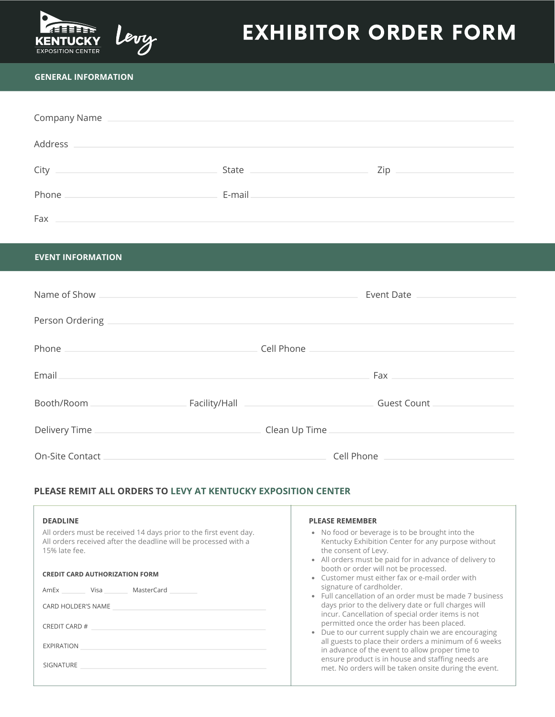

# EXHIBITOR ORDER FORM

### **GENERAL INFORMATION**

| Company Name |          |      |
|--------------|----------|------|
| Address      |          |      |
| City         | State __ | Zip. |
| Phone        | E-mail   |      |
| Fax          |          |      |

#### **EVENT INFORMATION**

| Name of Show                                                                                                                                                                                                                           |               |                                                             | Event Date                  |
|----------------------------------------------------------------------------------------------------------------------------------------------------------------------------------------------------------------------------------------|---------------|-------------------------------------------------------------|-----------------------------|
|                                                                                                                                                                                                                                        |               |                                                             |                             |
| Person Ordering                                                                                                                                                                                                                        |               |                                                             |                             |
| Phone<br>the control of the control of the control of the control of the control of the control of the control of the control of the control of the control of the control of the control of the control of the control of the control |               | Cell Phone                                                  |                             |
|                                                                                                                                                                                                                                        |               |                                                             |                             |
| Email                                                                                                                                                                                                                                  |               |                                                             | Fax <b>Exercise Service</b> |
| Booth/Room                                                                                                                                                                                                                             | Facility/Hall | the control of the control of the control of the control of | <b>Guest Count</b>          |
|                                                                                                                                                                                                                                        |               |                                                             |                             |
| Delivery Time                                                                                                                                                                                                                          |               | Clean Up Time                                               |                             |
| On-Site Contact                                                                                                                                                                                                                        |               |                                                             | Cell Phone                  |

## **PLEASE REMIT ALL ORDERS TO LEVY AT KENTUCKY EXPOSITION CENTER**

| <b>DEADLINE</b>                                                                                                                                       | <b>PLEASE REMEMBER</b>                                                                                                                                                                   |
|-------------------------------------------------------------------------------------------------------------------------------------------------------|------------------------------------------------------------------------------------------------------------------------------------------------------------------------------------------|
| All orders must be received 14 days prior to the first event day.<br>All orders received after the deadline will be processed with a<br>15% late fee. | • No food or beverage is to be brought into the<br>Kentucky Exhibition Center for any purpose without<br>the consent of Levy.<br>• All orders must be paid for in advance of delivery to |
| <b>CREDIT CARD AUTHORIZATION FORM</b>                                                                                                                 | booth or order will not be processed.<br>Customer must either fax or e-mail order with                                                                                                   |
| MasterCard<br>AmEx<br>Visa                                                                                                                            | signature of cardholder.<br>Full cancellation of an order must be made 7 business                                                                                                        |
| CARD HOLDER'S NAME                                                                                                                                    | days prior to the delivery date or full charges will<br>incur. Cancellation of special order items is not                                                                                |
| CREDIT CARD #                                                                                                                                         | permitted once the order has been placed.<br>Due to our current supply chain we are encouraging<br>$\bullet$                                                                             |
| EXPIRATION                                                                                                                                            | all guests to place their orders a minimum of 6 weeks<br>in advance of the event to allow proper time to                                                                                 |
| <b>SIGNATURE</b>                                                                                                                                      | ensure product is in house and staffing needs are<br>met. No orders will be taken onsite during the event.                                                                               |